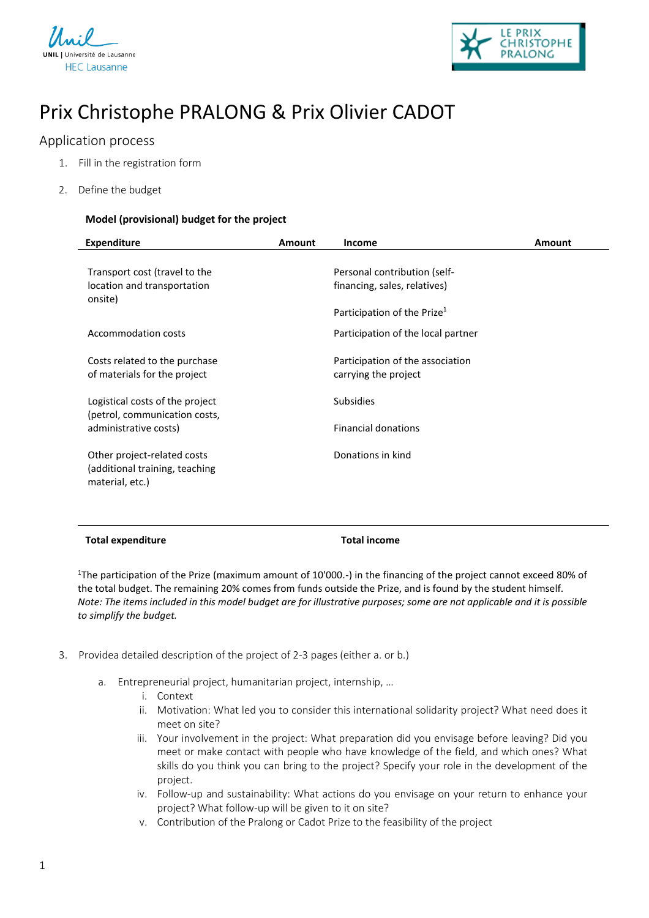



# Prix Christophe PRALONG & Prix Olivier CADOT

## Application process

- 1. Fill in the registration form
- 2. Define the budget

### **Model (provisional) budget for the project**

| <b>Expenditure</b>                                                                | <b>Amount</b> | Income                                                                                                  | Amount |
|-----------------------------------------------------------------------------------|---------------|---------------------------------------------------------------------------------------------------------|--------|
| Transport cost (travel to the<br>location and transportation<br>onsite)           |               | Personal contribution (self-<br>financing, sales, relatives)<br>Participation of the Prize <sup>1</sup> |        |
| Accommodation costs                                                               |               | Participation of the local partner                                                                      |        |
| Costs related to the purchase<br>of materials for the project                     |               | Participation of the association<br>carrying the project                                                |        |
| Logistical costs of the project<br>(petrol, communication costs,                  |               | <b>Subsidies</b>                                                                                        |        |
| administrative costs)                                                             |               | <b>Financial donations</b>                                                                              |        |
| Other project-related costs<br>(additional training, teaching)<br>material, etc.) |               | Donations in kind                                                                                       |        |

#### **Total expenditure Total income**

<sup>1</sup>The participation of the Prize (maximum amount of 10'000.-) in the financing of the project cannot exceed 80% of the total budget. The remaining 20% comes from funds outside the Prize, and is found by the student himself. *Note: The items included in this model budget are for illustrative purposes; some are not applicable and it is possible to simplify the budget.*

- 3. Providea detailed description of the project of 2-3 pages (either a. or b.)
	- a. Entrepreneurial project, humanitarian project, internship, …
		- i. Context
		- ii. Motivation: What led you to consider this international solidarity project? What need does it meet on site?
		- iii. Your involvement in the project: What preparation did you envisage before leaving? Did you meet or make contact with people who have knowledge of the field, and which ones? What skills do you think you can bring to the project? Specify your role in the development of the project.
		- iv. Follow-up and sustainability: What actions do you envisage on your return to enhance your project? What follow-up will be given to it on site?
		- v. Contribution of the Pralong or Cadot Prize to the feasibility of the project